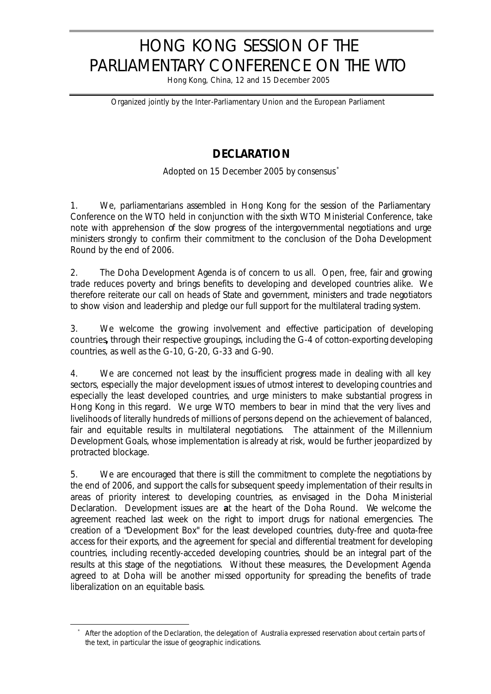## HONG KONG SESSION OF THE PARLIAMENTARY CONFERENCE ON THE WTO

Hong Kong, China, 12 and 15 December 2005

*Organized jointly by the Inter-Parliamentary Union and the European Parliament*

## **DECLARATION**

*Adopted on 15 December 2005 by consensus \**

1. We, parliamentarians assembled in Hong Kong for the session of the Parliamentary Conference on the WTO held in conjunction with the sixth WTO Ministerial Conference, take note with apprehension of the slow progress of the intergovernmental negotiations and urge ministers strongly to confirm their commitment to the conclusion of the Doha Development Round by the end of 2006.

2. The Doha Development Agenda is of concern to us all. Open, free, fair and growing trade reduces poverty and brings benefits to developing and developed countries alike.We therefore reiterate our call on heads of State and government, ministers and trade negotiators to show vision and leadership and pledge our full support for the multilateral trading system.

3. We welcome the growing involvement and effective participation of developing countries**,** through their respective groupings, including the G-4 of cotton-exporting developing countries, as well as the G-10, G-20, G-33 and G-90.

4. We are concerned not least by the insufficient progress made in dealing with all key sectors, especially the major development issues of utmost interest to developing countries and especially the least developed countries, and urge ministers to make substantial progress in Hong Kong in this regard. We urge WTO members to bear in mind that the very lives and livelihoods of literally hundreds of millions of persons depend on the achievement of balanced, fair and equitable results in multilateral negotiations. The attainment of the Millennium Development Goals, whose implementation is already at risk, would be further jeopardized by protracted blockage.

5. We are encouraged that there is still the commitment to complete the negotiations by the end of 2006, and support the calls for subsequent speedy implementation of their results in areas of priority interest to developing countries, as envisaged in the Doha Ministerial Declaration. Development issues are **a**t the heart of the Doha Round. We welcome the agreement reached last week on the right to import drugs for national emergencies. The creation of a "Development Box" for the least developed countries, duty-free and quota-free access for their exports, and the agreement for special and differential treatment for developing countries, including recently-acceded developing countries, should be an integral part of the results at this stage of the negotiations. Without these measures, the Development Agenda agreed to at Doha will be another missed opportunity for spreading the benefits of trade liberalization on an equitable basis.

l

After the adoption of the Declaration, the delegation of Australia expressed reservation about certain parts of the text, in particular the issue of geographic indications.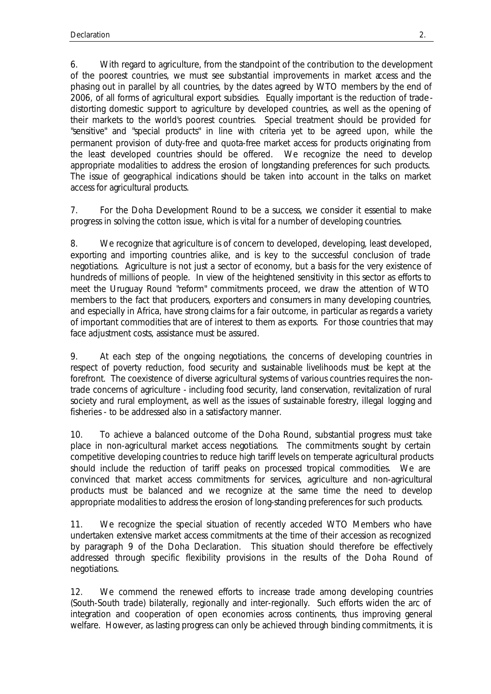6. With regard to agriculture, from the standpoint of the contribution to the development of the poorest countries, we must see substantial improvements in market access and the phasing out in parallel by all countries, by the dates agreed by WTO members by the end of 2006, of all forms of agricultural export subsidies. Equally important is the reduction of tradedistorting domestic support to agriculture by developed countries, as well as the opening of their markets to the world's poorest countries. Special treatment should be provided for "sensitive" and "special products" in line with criteria yet to be agreed upon, while the permanent provision of duty-free and quota-free market access for products originating from the least developed countries should be offered. We recognize the need to develop appropriate modalities to address the erosion of longstanding preferences for such products. The issue of geographical indications should be taken into account in the talks on market access for agricultural products.

7. For the Doha Development Round to be a success, we consider it essential to make progress in solving the cotton issue, which is vital for a number of developing countries.

8. We recognize that agriculture is of concern to developed, developing, least developed, exporting and importing countries alike, and is key to the successful conclusion of trade negotiations. Agriculture is not just a sector of economy, but a basis for the very existence of hundreds of millions of people. In view of the heightened sensitivity in this sector as efforts to meet the Uruguay Round "reform" commitments proceed, we draw the attention of WTO members to the fact that producers, exporters and consumers in many developing countries, and especially in Africa, have strong claims for a fair outcome, in particular as regards a variety of important commodities that are of interest to them as exports. For those countries that may face adjustment costs, assistance must be assured.

9. At each step of the ongoing negotiations, the concerns of developing countries in respect of poverty reduction, food security and sustainable livelihoods must be kept at the forefront. The coexistence of diverse agricultural systems of various countries requires the nontrade concerns of agriculture - including food security, land conservation, revitalization of rural society and rural employment, as well as the issues of sustainable forestry, illegal logging and fisheries - to be addressed also in a satisfactory manner.

10. To achieve a balanced outcome of the Doha Round, substantial progress must take place in non-agricultural market access negotiations. The commitments sought by certain competitive developing countries to reduce high tariff levels on temperate agricultural products should include the reduction of tariff peaks on processed tropical commodities. We are convinced that market access commitments for services, agriculture and non-agricultural products must be balanced and we recognize at the same time the need to develop appropriate modalities to address the erosion of long-standing preferences for such products.

11. We recognize the special situation of recently acceded WTO Members who have undertaken extensive market access commitments at the time of their accession as recognized by paragraph 9 of the Doha Declaration. This situation should therefore be effectively addressed through specific flexibility provisions in the results of the Doha Round of negotiations.

12. We commend the renewed efforts to increase trade among developing countries (South-South trade) bilaterally, regionally and inter-regionally. Such efforts widen the arc of integration and cooperation of open economies across continents, thus improving general welfare. However, as lasting progress can only be achieved through binding commitments, it is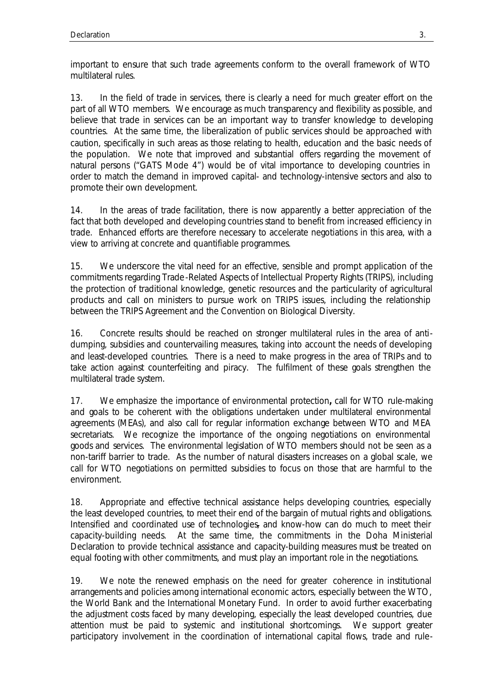important to ensure that such trade agreements conform to the overall framework of WTO multilateral rules.

13. In the field of trade in services, there is clearly a need for much greater effort on the part of all WTO members. We encourage as much transparency and flexibility as possible, and believe that trade in services can be an important way to transfer knowledge to developing countries. At the same time, the liberalization of public services should be approached with caution, specifically in such areas as those relating to health, education and the basic needs of the population. We note that improved and substantial offers regarding the movement of natural persons ("GATS Mode 4") would be of vital importance to developing countries in order to match the demand in improved capital- and technology-intensive sectors and also to promote their own development.

14. In the areas of trade facilitation, there is now apparently a better appreciation of the fact that both developed and developing countries stand to benefit from increased efficiency in trade. Enhanced efforts are therefore necessary to accelerate negotiations in this area, with a view to arriving at concrete and quantifiable programmes.

15. We underscore the vital need for an effective, sensible and prompt application of the commitments regarding Trade-Related Aspects of Intellectual Property Rights (TRIPS), including the protection of traditional knowledge, genetic resources and the particularity of agricultural products and call on ministers to pursue work on TRIPS issues, including the relationship between the TRIPS Agreement and the Convention on Biological Diversity.

16. Concrete results should be reached on stronger multilateral rules in the area of antidumping, subsidies and countervailing measures, taking into account the needs of developing and least-developed countries. There is a need to make progress in the area of TRIPs and to take action against counterfeiting and piracy. The fulfilment of these goals strengthen the multilateral trade system.

17. We emphasize the importance of environmental protection**,** call for WTO rule-making and goals to be coherent with the obligations undertaken under multilateral environmental agreements (MEAs), and also call for regular information exchange between WTO and MEA secretariats. We recognize the importance of the ongoing negotiations on environmental goods and services. The environmental legislation of WTO members should not be seen as a non-tariff barrier to trade. As the number of natural disasters increases on a global scale, we call for WTO negotiations on permitted subsidies to focus on those that are harmful to the environment.

18. Appropriate and effective technical assistance helps developing countries, especially the least developed countries, to meet their end of the bargain of mutual rights and obligations. Intensified and coordinated use of technologies, and know-how can do much to meet their capacity-building needs. At the same time, the commitments in the Doha Ministerial Declaration to provide technical assistance and capacity-building measures must be treated on equal footing with other commitments, and must play an important role in the negotiations.

19. We note the renewed emphasis on the need for greater coherence in institutional arrangements and policies among international economic actors, especially between the WTO, the World Bank and the International Monetary Fund. In order to avoid further exacerbating the adjustment costs faced by many developing, especially the least developed countries, due attention must be paid to systemic and institutional shortcomings. We support greater participatory involvement in the coordination of international capital flows, trade and rule